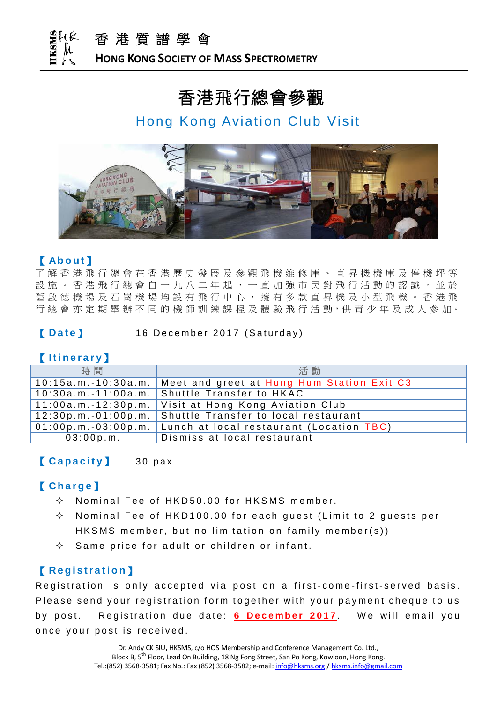

#### **HONG KONG SOCIETY OF MASS SPECTROMETRY**

# 香港飛行總會參觀

### Hong Kong Aviation Club Visit



#### 【 **Ab o u t** 】

了 解 香 港 飛 行 總 會 在 香 港 歷 史 發 展 及 參 觀 飛 機 維 修 庫 、 直 昇 機 機 庫 及 停 機 坪 等 設 施 。 香 港 飛 行 總 會 自 一 九 八 二 年 起 , 一 直 加 強 市 民 對 飛 行 活 動 的 認 識 , 並 於 舊 啟 德 機 場 及 石 崗 機 場 均 設 有 飛 行 中 心 , 擁 有 多 款 直 昇 機 及 小 型 飛 機 。 香 港 飛 行 總 會 亦 定 期 舉 辦 不 同 的 機 師 訓 練 課 程 及 體 驗 飛 行 活 動, 供 青 少 年 及 成 人 參 加。

#### **[Date]** 16 December 2017 (Saturday)

#### 【 **I t i n e r a r y**】

| 時間                    | 活動                                                               |  |
|-----------------------|------------------------------------------------------------------|--|
|                       | 10:15a.m.-10:30a.m.   Meet and greet at Hung Hum Station Exit C3 |  |
|                       | 10:30a.m.-11:00a.m.   Shuttle Transfer to HKAC                   |  |
|                       | 11:00a.m.-12:30p.m.   Visit at Hong Kong Aviation Club           |  |
| 12:30p.m.-01:00p.m.   | Shuttle Transfer to local restaurant                             |  |
| $01:00p.m.-03:00p.m.$ | Lunch at local restaurant (Location TBC)                         |  |
| 03:00p.m.             | Dismiss at local restaurant                                      |  |

### **[ Capacity ]** 30 pax

#### 【 **C h a r g e** 】

- $\lozenge$  Nominal Fee of HKD 50.00 for HKSMS member.
- Nominal Fee of HKD100.00 for each guest (Limit to 2 guests per HKSMS member, but no limitation on family member( $s$ ))
- $\Diamond$  Same price for adult or children or infant.

#### 【 **R e g i s t r a t i o n**】

Registration is only accepted via post on a first-come-first-served basis. Please send your registration form together with your payment cheque to us by post. Registration due date: **6 December 2017**. We will email you once your post is received.